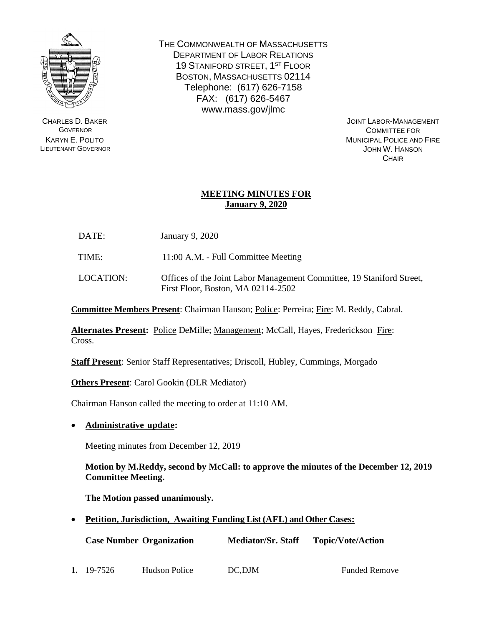

CHARLES D. BAKER GOVERNOR KARYN E. POLITO LIEUTENANT GOVERNOR THE COMMONWEALTH OF MASSACHUSETTS DEPARTMENT OF LABOR RELATIONS 19 STANIFORD STREET, 1<sup>ST</sup> FLOOR BOSTON, MASSACHUSETTS 02114 Telephone: (617) 626-7158 FAX: (617) 626-5467 www.mass.gov/jlmc

JOINT LABOR-MANAGEMENT COMMITTEE FOR MUNICIPAL POLICE AND FIRE JOHN W. HANSON **CHAIR** 

# **MEETING MINUTES FOR January 9, 2020**

| DATE: | <b>January 9, 2020</b> |  |
|-------|------------------------|--|
|       |                        |  |

TIME: 11:00 A.M. - Full Committee Meeting

LOCATION: Offices of the Joint Labor Management Committee, 19 Staniford Street, First Floor, Boston, MA 02114-2502

**Committee Members Present**: Chairman Hanson; Police: Perreira; Fire: M. Reddy, Cabral.

**Alternates Present:** Police DeMille; Management; McCall, Hayes, Frederickson Fire: Cross.

**Staff Present**: Senior Staff Representatives; Driscoll, Hubley, Cummings, Morgado

**Others Present**: Carol Gookin (DLR Mediator)

Chairman Hanson called the meeting to order at 11:10 AM.

• **Administrative update:**

Meeting minutes from December 12, 2019

**Motion by M.Reddy, second by McCall: to approve the minutes of the December 12, 2019 Committee Meeting.**

**The Motion passed unanimously.**

• **Petition, Jurisdiction, Awaiting Funding List (AFL) and Other Cases:**

**Case Number Organization Mediator/Sr. Staff Topic/Vote/Action**

**1.** 19-7526 Hudson Police DC, DJM Funded Remove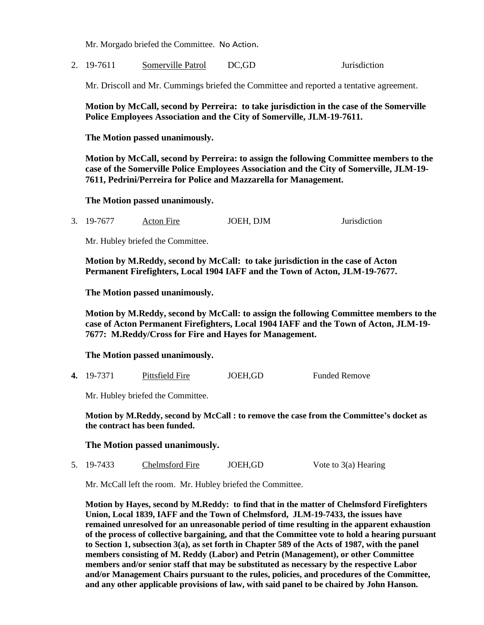Mr. Morgado briefed the Committee. No Action**.** 

2. 19-7611 Somerville Patrol DC,GD Jurisdiction

Mr. Driscoll and Mr. Cummings briefed the Committee and reported a tentative agreement.

**Motion by McCall, second by Perreira: to take jurisdiction in the case of the Somerville Police Employees Association and the City of Somerville, JLM-19-7611.**

**The Motion passed unanimously.**

**Motion by McCall, second by Perreira: to assign the following Committee members to the case of the Somerville Police Employees Association and the City of Somerville, JLM-19- 7611, Pedrini/Perreira for Police and Mazzarella for Management.**

**The Motion passed unanimously.**

3. 19-7677 Acton Fire JOEH, DJM Jurisdiction

Mr. Hubley briefed the Committee.

**Motion by M.Reddy, second by McCall: to take jurisdiction in the case of Acton Permanent Firefighters, Local 1904 IAFF and the Town of Acton, JLM-19-7677.**

**The Motion passed unanimously.**

**Motion by M.Reddy, second by McCall: to assign the following Committee members to the case of Acton Permanent Firefighters, Local 1904 IAFF and the Town of Acton, JLM-19- 7677: M.Reddy/Cross for Fire and Hayes for Management.**

### **The Motion passed unanimously.**

**4.** 19-7371 Pittsfield Fire JOEH,GD Funded Remove

Mr. Hubley briefed the Committee.

**Motion by M.Reddy, second by McCall : to remove the case from the Committee's docket as the contract has been funded.**

### **The Motion passed unanimously.**

5. 19-7433 Chelmsford Fire JOEH,GD Vote to 3(a) Hearing

Mr. McCall left the room. Mr. Hubley briefed the Committee.

**Motion by Hayes, second by M.Reddy: to find that in the matter of Chelmsford Firefighters Union, Local 1839, IAFF and the Town of Chelmsford, JLM-19-7433, the issues have remained unresolved for an unreasonable period of time resulting in the apparent exhaustion of the process of collective bargaining, and that the Committee vote to hold a hearing pursuant to Section 1, subsection 3(a), as set forth in Chapter 589 of the Acts of 1987, with the panel members consisting of M. Reddy (Labor) and Petrin (Management), or other Committee members and/or senior staff that may be substituted as necessary by the respective Labor and/or Management Chairs pursuant to the rules, policies, and procedures of the Committee, and any other applicable provisions of law, with said panel to be chaired by John Hanson.**